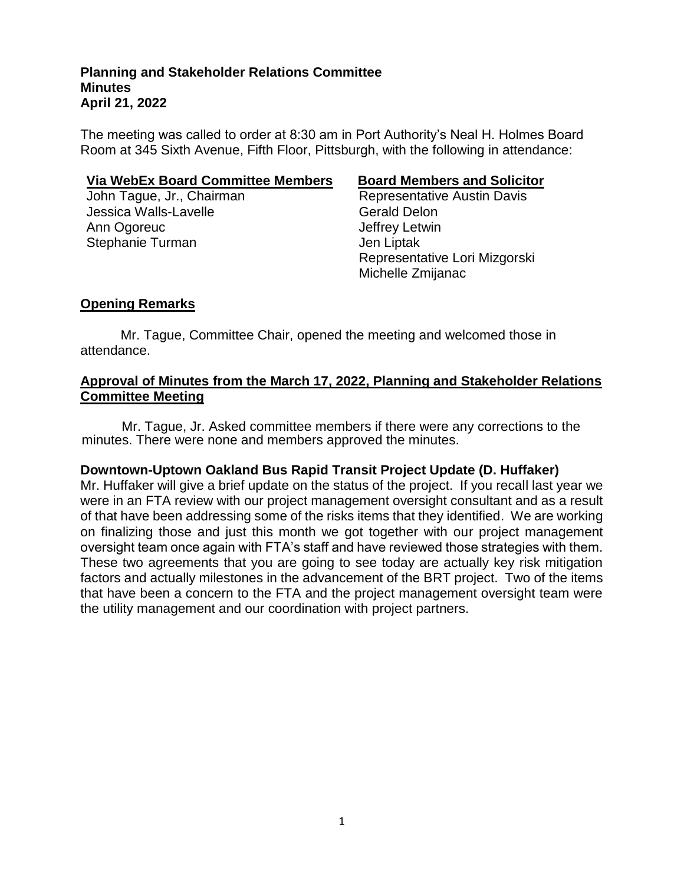The meeting was called to order at 8:30 am in Port Authority's Neal H. Holmes Board Room at 345 Sixth Avenue, Fifth Floor, Pittsburgh, with the following in attendance:

#### **Via WebEx Board Committee Members Board Members and Solicitor**

John Tague, Jr., Chairman Representative Austin Davis Jessica Walls-Lavelle Christian Cerald Delon Ann Ogoreuc **Annual Annual Annual Annual Annual Annual Annual Annual Annual Annual Annual Annual Annual Annual Annual Annual Annual Annual Annual Annual Annual Annual Annual Annual Annual Annual Annual Annual Annual Annual** Stephanie Turman and Jen Liptak

 Representative Lori Mizgorski Michelle Zmijanac

# **Opening Remarks**

Mr. Tague, Committee Chair, opened the meeting and welcomed those in attendance.

### **Approval of Minutes from the March 17, 2022, Planning and Stakeholder Relations Committee Meeting**

Mr. Tague, Jr. Asked committee members if there were any corrections to the minutes. There were none and members approved the minutes.

### **Downtown-Uptown Oakland Bus Rapid Transit Project Update (D. Huffaker)**

Mr. Huffaker will give a brief update on the status of the project. If you recall last year we were in an FTA review with our project management oversight consultant and as a result of that have been addressing some of the risks items that they identified. We are working on finalizing those and just this month we got together with our project management oversight team once again with FTA's staff and have reviewed those strategies with them. These two agreements that you are going to see today are actually key risk mitigation factors and actually milestones in the advancement of the BRT project. Two of the items that have been a concern to the FTA and the project management oversight team were the utility management and our coordination with project partners.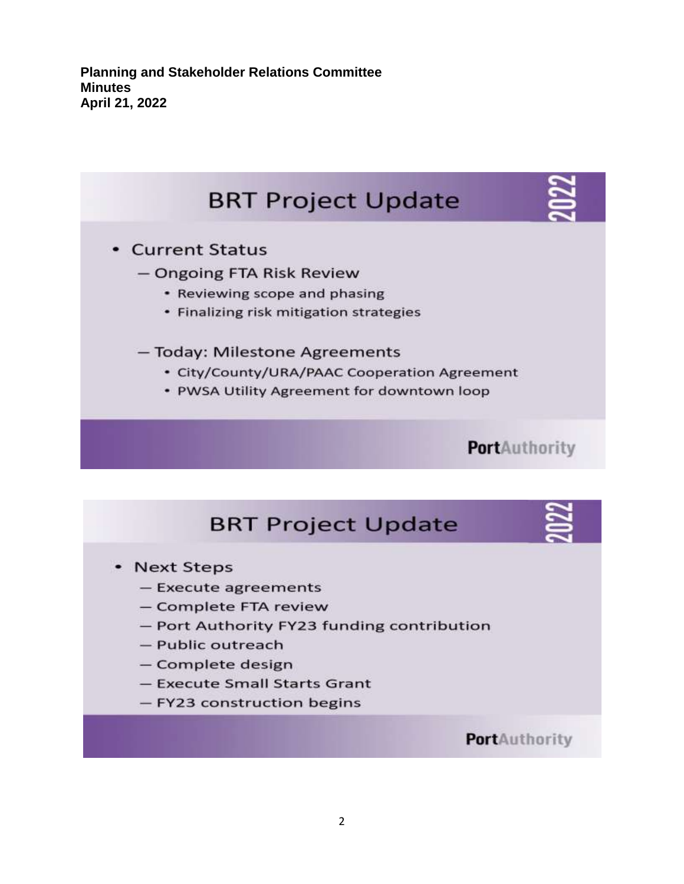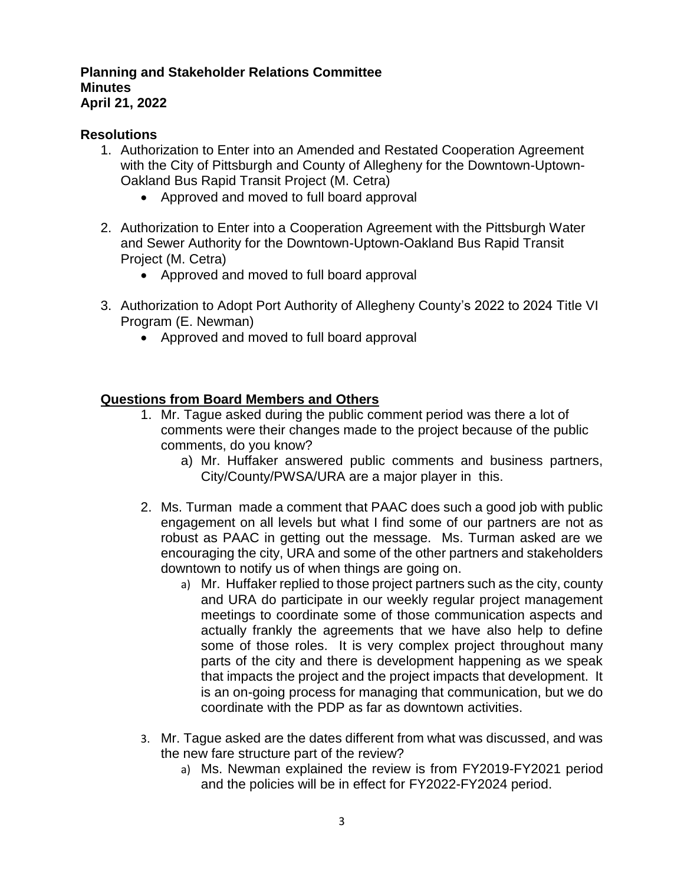## **Resolutions**

- 1. Authorization to Enter into an Amended and Restated Cooperation Agreement with the City of Pittsburgh and County of Allegheny for the Downtown-Uptown-Oakland Bus Rapid Transit Project (M. Cetra)
	- Approved and moved to full board approval
- 2. Authorization to Enter into a Cooperation Agreement with the Pittsburgh Water and Sewer Authority for the Downtown-Uptown-Oakland Bus Rapid Transit Project (M. Cetra)
	- Approved and moved to full board approval
- 3. Authorization to Adopt Port Authority of Allegheny County's 2022 to 2024 Title VI Program (E. Newman)
	- Approved and moved to full board approval

# **Questions from Board Members and Others**

- 1. Mr. Tague asked during the public comment period was there a lot of comments were their changes made to the project because of the public comments, do you know?
	- a) Mr. Huffaker answered public comments and business partners, City/County/PWSA/URA are a major player in this.
- 2. Ms. Turman made a comment that PAAC does such a good job with public engagement on all levels but what I find some of our partners are not as robust as PAAC in getting out the message. Ms. Turman asked are we encouraging the city, URA and some of the other partners and stakeholders downtown to notify us of when things are going on.
	- a) Mr. Huffaker replied to those project partners such as the city, county and URA do participate in our weekly regular project management meetings to coordinate some of those communication aspects and actually frankly the agreements that we have also help to define some of those roles. It is very complex project throughout many parts of the city and there is development happening as we speak that impacts the project and the project impacts that development. It is an on-going process for managing that communication, but we do coordinate with the PDP as far as downtown activities.
- 3. Mr. Tague asked are the dates different from what was discussed, and was the new fare structure part of the review?
	- a) Ms. Newman explained the review is from FY2019-FY2021 period and the policies will be in effect for FY2022-FY2024 period.